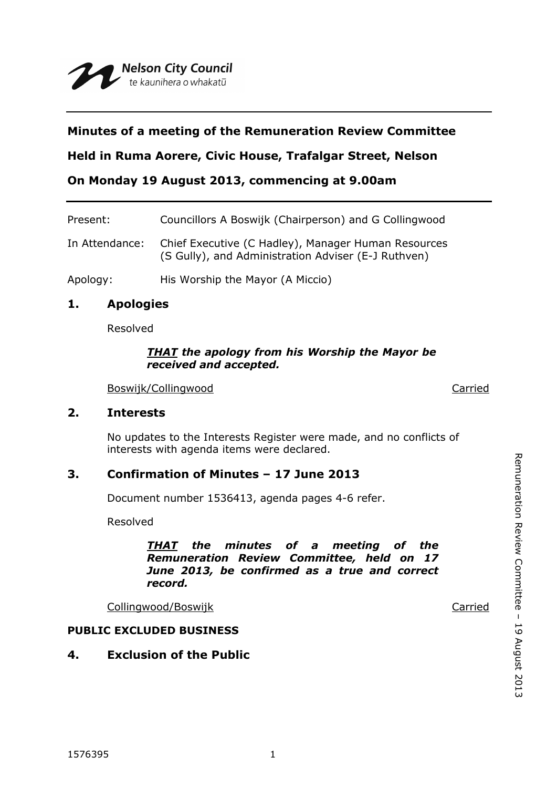## **Minutes of a meeting of the Remuneration Review Committee**

**Held in Ruma Aorere, Civic House, Trafalgar Street, Nelson**

**On Monday 19 August 2013, commencing at 9.00am**

| Present:       | Councillors A Boswijk (Chairperson) and G Collingwood                                                      |
|----------------|------------------------------------------------------------------------------------------------------------|
| In Attendance: | Chief Executive (C Hadley), Manager Human Resources<br>(S Gully), and Administration Adviser (E-J Ruthven) |
| Apology:       | His Worship the Mayor (A Miccio)                                                                           |

## **1. Apologies**

Resolved

#### *THAT the apology from his Worship the Mayor be received and accepted.*

Boswijk/Collingwood Carried

## **2. Interests**

No updates to the Interests Register were made, and no conflicts of interests with agenda items were declared.

# **3. Confirmation of Minutes – 17 June 2013**

Document number 1536413, agenda pages 4-6 refer.

Resolved

*THAT the minutes of a meeting of the Remuneration Review Committee, held on 17 June 2013, be confirmed as a true and correct record.*

Collingwood/Boswijk Collingwood/Boswijk Carried

Remuneration Review Committee

Remuneration Review Committee - 19 August 2013

19 August 2013

## **PUBLIC EXCLUDED BUSINESS**

# **4. Exclusion of the Public**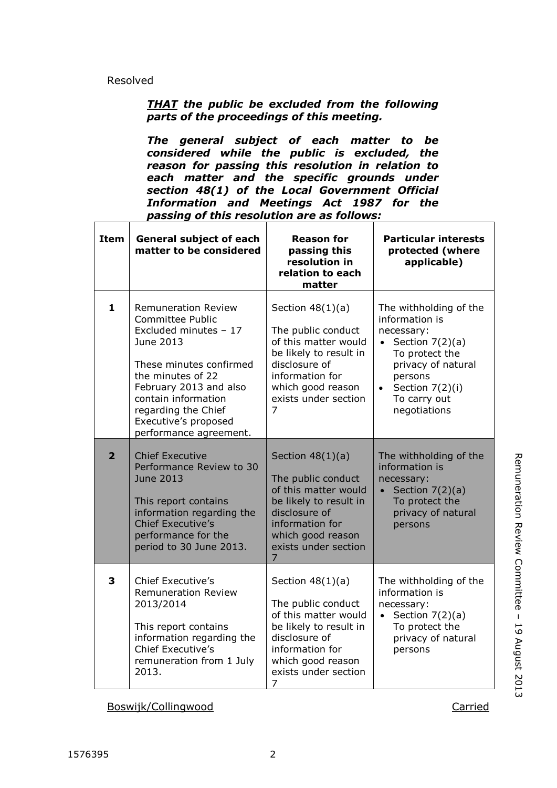#### Resolved

### *THAT the public be excluded from the following parts of the proceedings of this meeting.*

*The general subject of each matter to be considered while the public is excluded, the reason for passing this resolution in relation to each matter and the specific grounds under section 48(1) of the Local Government Official Information and Meetings Act 1987 for the passing of this resolution are as follows:*

| <b>Item</b>    | <b>General subject of each</b><br>matter to be considered                                                                                                                                                                                                             | <b>Reason for</b><br>passing this<br>resolution in<br>relation to each<br>matter                                                                                                              | <b>Particular interests</b><br>protected (where<br>applicable)                                                                                                                                              |
|----------------|-----------------------------------------------------------------------------------------------------------------------------------------------------------------------------------------------------------------------------------------------------------------------|-----------------------------------------------------------------------------------------------------------------------------------------------------------------------------------------------|-------------------------------------------------------------------------------------------------------------------------------------------------------------------------------------------------------------|
| $\mathbf{1}$   | <b>Remuneration Review</b><br><b>Committee Public</b><br>Excluded minutes - 17<br>June 2013<br>These minutes confirmed<br>the minutes of 22<br>February 2013 and also<br>contain information<br>regarding the Chief<br>Executive's proposed<br>performance agreement. | Section $48(1)(a)$<br>The public conduct<br>of this matter would<br>be likely to result in<br>disclosure of<br>information for<br>which good reason<br>exists under section<br>$\overline{7}$ | The withholding of the<br>information is<br>necessary:<br>Section $7(2)(a)$<br>$\bullet$<br>To protect the<br>privacy of natural<br>persons<br>Section 7(2)(i)<br>$\bullet$<br>To carry out<br>negotiations |
| $\overline{2}$ | <b>Chief Executive</b><br>Performance Review to 30<br><b>June 2013</b><br>This report contains<br>information regarding the<br><b>Chief Executive's</b><br>performance for the<br>period to 30 June 2013.                                                             | Section $48(1)(a)$<br>The public conduct<br>of this matter would<br>be likely to result in<br>disclosure of<br>information for<br>which good reason<br>exists under section<br>$\overline{7}$ | The withholding of the<br>information is<br>necessary:<br>Section $7(2)(a)$<br>$\bullet$<br>To protect the<br>privacy of natural<br>persons                                                                 |
| 3              | <b>Chief Executive's</b><br><b>Remuneration Review</b><br>2013/2014<br>This report contains<br>information regarding the<br>Chief Executive's<br>remuneration from 1 July<br>2013.                                                                                    | Section $48(1)(a)$<br>The public conduct<br>of this matter would<br>be likely to result in<br>disclosure of<br>information for<br>which good reason<br>exists under section<br>7              | The withholding of the<br>information is<br>necessary:<br>Section $7(2)(a)$<br>$\bullet$<br>To protect the<br>privacy of natural<br>persons                                                                 |

Boswijk/Collingwood Carried